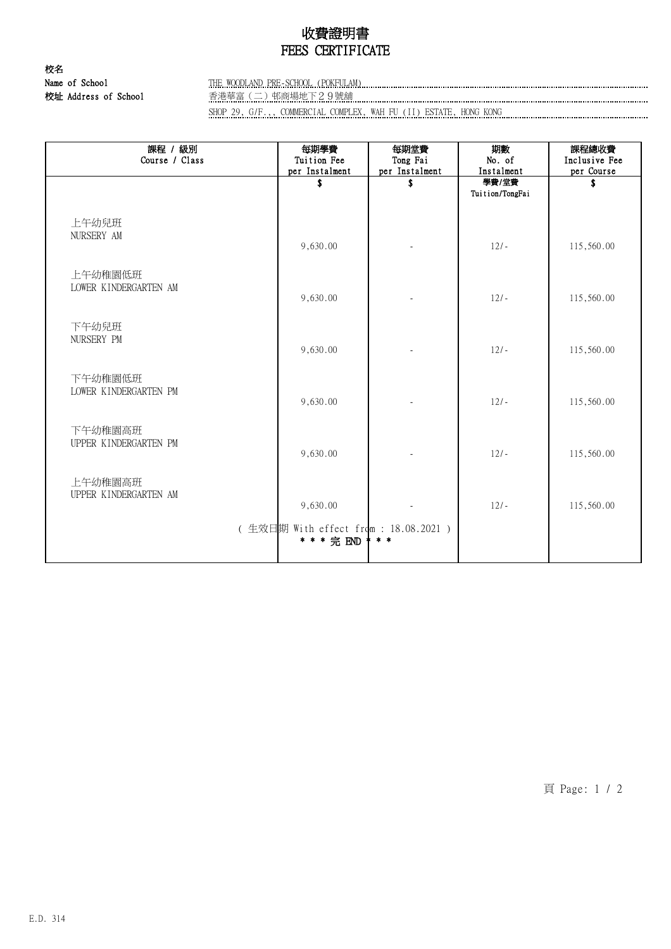## 收費證明書 FEES CERTIFICATE

校名 校址 Address of School 香港華富(二)邨商場地下29號舖

Name of School THE WOODLAND PRE-SCHOOL (POKFULAM)

SHOP 29, G/F.,, COMMERCIAL COMPLEX, WAH FU (II) ESTATE, HONG KONG

| 課程 / 級別<br>Course / Class        | 每期學費<br>Tuition Fee<br>per Instalment                | 每期堂費<br>Tong Fai<br>per Instalment | 期數<br>No. of<br>Instalment | 課程總收費<br>Inclusive Fee<br>per Course |
|----------------------------------|------------------------------------------------------|------------------------------------|----------------------------|--------------------------------------|
|                                  | \$                                                   | \$                                 | 學費/堂費<br>Tuition/TongFai   | S                                    |
| 上午幼兒班<br>NURSERY AM              | 9,630.00                                             |                                    | $12/-$                     | 115,560.00                           |
| 上午幼稚園低班<br>LOWER KINDERGARTEN AM | 9,630.00                                             |                                    | $12/-$                     | 115,560.00                           |
| 下午幼兒班<br>NURSERY PM              | 9,630.00                                             |                                    | $12/-$                     | 115,560.00                           |
| 下午幼稚園低班<br>LOWER KINDERGARTEN PM | 9,630.00                                             |                                    | $12/-$                     | 115,560.00                           |
| 下午幼稚園高班<br>UPPER KINDERGARTEN PM | 9,630.00                                             |                                    | $12/-$                     | 115,560.00                           |
| 上午幼稚園高班<br>UPPER KINDERGARTEN AM | 9,630.00                                             |                                    | $12/-$                     | 115,560.00                           |
|                                  | (生效日期 With effect from : 18.08.2021 )<br>* * * 完 END | $* *$                              |                            |                                      |

頁 Page: 1 / 2